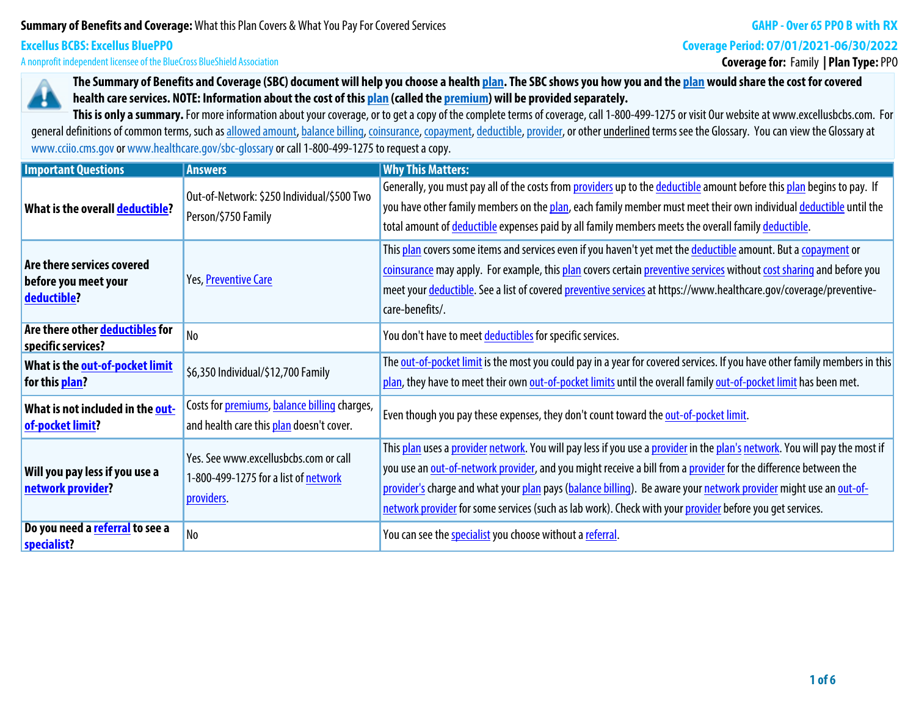# **Summary of Benefits and Coverage: What this Plan Covers & What You Pay For Covered Services**

### **GAHP - Over 65 PPO B with RX**

**Coverage Period: 07/01/2021-06/30/2022**

**A nonprofit independent licensee of the BlueCross BlueShield Association**

**Excellus BCBS: Excellus BluePPO**

# **Coverage for: Family | Plan Type: PPO**



**The Summary of Benefits and Coverage (SBC) document will help you choose a health plan. The SBC shows you how you and the plan would share the cost for covered health care services. NOTE: Information about the cost of this plan (called the premium) will be provided separately.**

This is only a summary. For more information about your coverage, or to get a copy of the complete terms of coverage, call 1-800-499-1275 or visit Our website at www.excellusbcbs.com. For general definitions of common terms, such as allowed amount, balance billing, coinsurance, copayment, deductible, provider, or other underlined terms see the Glossary. You can view the Glossary at **www.cciio.cms.gov or www.healthcare.gov/sbc-glossary or call 1-800-499-1275 to request a copy.**

| <b>Important Questions</b>                                                              | <b>Answers</b>                                                                                   | <b>Why This Matters:</b>                                                                                                                                                                                                                                                                                                                                                                                                                                                      |  |  |  |  |
|-----------------------------------------------------------------------------------------|--------------------------------------------------------------------------------------------------|-------------------------------------------------------------------------------------------------------------------------------------------------------------------------------------------------------------------------------------------------------------------------------------------------------------------------------------------------------------------------------------------------------------------------------------------------------------------------------|--|--|--|--|
| What is the overall deductible?                                                         | Out-of-Network: \$250 Individual/\$500 Two<br>Person/\$750 Family                                | Generally, you must pay all of the costs from providers up to the deductible amount before this plan begins to pay. If<br>you have other family members on the plan, each family member must meet their own individual deductible until the<br>total amount of deductible expenses paid by all family members meets the overall family deductible.                                                                                                                            |  |  |  |  |
| Are there services covered<br>before you meet your<br>deductible?                       | Yes, Preventive Care                                                                             | This plan covers some items and services even if you haven't yet met the deductible amount. But a copayment or<br>coinsurance may apply. For example, this plan covers certain preventive services without cost sharing and before you<br>meet your deductible. See a list of covered preventive services at https://www.healthcare.gov/coverage/preventive-<br>care-benefits/.                                                                                               |  |  |  |  |
| Are there other deductibles for<br>specific services?                                   | N <sub>o</sub>                                                                                   | You don't have to meet deductibles for specific services.                                                                                                                                                                                                                                                                                                                                                                                                                     |  |  |  |  |
| What is the out-of-pocket limit<br>\$6,350 Individual/\$12,700 Family<br>for this plan? |                                                                                                  | The out-of-pocket limit is the most you could pay in a year for covered services. If you have other family members in this<br>plan, they have to meet their own out-of-pocket limits until the overall family out-of-pocket limit has been met.                                                                                                                                                                                                                               |  |  |  |  |
| What is not included in the out-<br>of-pocket limit?                                    | Costs for <i>premiums</i> , balance billing charges,<br>and health care this plan doesn't cover. | Even though you pay these expenses, they don't count toward the out-of-pocket limit.                                                                                                                                                                                                                                                                                                                                                                                          |  |  |  |  |
| Will you pay less if you use a<br>network provider?                                     | Yes. See www.excellusbcbs.com or call<br>1-800-499-1275 for a list of network<br>providers.      | This plan uses a provider network. You will pay less if you use a provider in the plan's network. You will pay the most if<br>you use an out-of-network provider, and you might receive a bill from a provider for the difference between the<br>provider's charge and what your plan pays (balance billing). Be aware your network provider might use an out-of-<br>network provider for some services (such as lab work). Check with your provider before you get services. |  |  |  |  |
| Do you need a referral to see a<br>specialist?                                          | N <sub>0</sub>                                                                                   | You can see the specialist you choose without a referral.                                                                                                                                                                                                                                                                                                                                                                                                                     |  |  |  |  |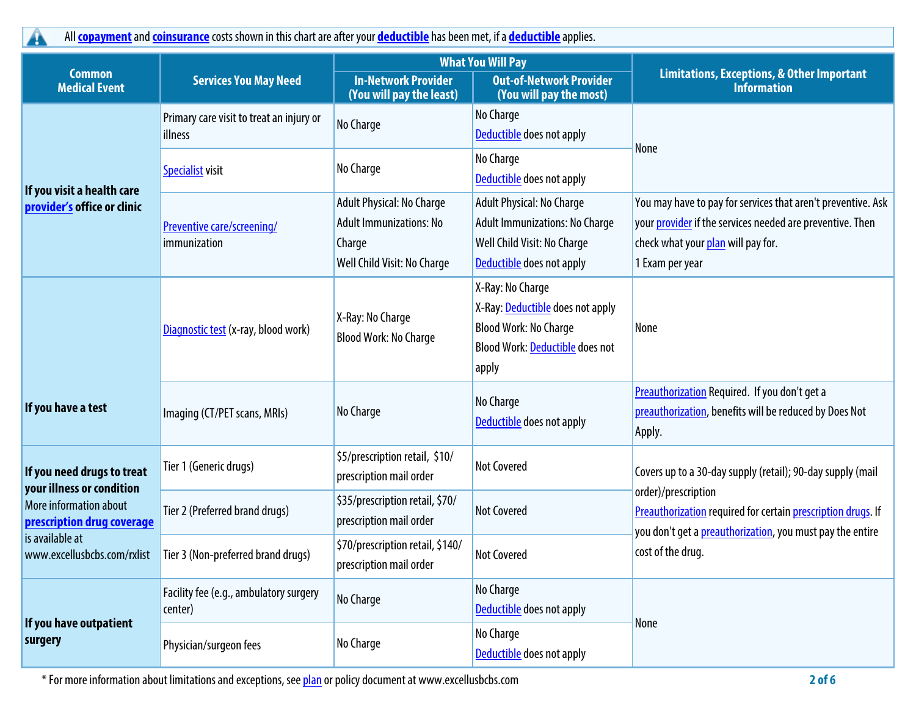**All copayment and coinsurance costs shown in this chart are after your deductible has been met, if a deductible applies.**

|                                                         | <b>Services You May Need</b>                        |                                                                                                      | <b>What You Will Pay</b>                                                                                                         |                                                                                                                                                                                    |  |
|---------------------------------------------------------|-----------------------------------------------------|------------------------------------------------------------------------------------------------------|----------------------------------------------------------------------------------------------------------------------------------|------------------------------------------------------------------------------------------------------------------------------------------------------------------------------------|--|
| <b>Common</b><br><b>Medical Event</b>                   |                                                     | <b>In-Network Provider</b><br>(You will pay the least)                                               | <b>Out-of-Network Provider</b><br>(You will pay the most)                                                                        | <b>Limitations, Exceptions, &amp; Other Important</b><br><b>Information</b>                                                                                                        |  |
|                                                         | Primary care visit to treat an injury or<br>illness | No Charge                                                                                            | No Charge<br>Deductible does not apply                                                                                           |                                                                                                                                                                                    |  |
| If you visit a health care                              | <b>Specialist visit</b>                             | No Charge                                                                                            | No Charge<br>Deductible does not apply                                                                                           | <b>None</b>                                                                                                                                                                        |  |
| provider's office or clinic                             | Preventive care/screening/<br>immunization          | Adult Physical: No Charge<br><b>Adult Immunizations: No</b><br>Charge<br>Well Child Visit: No Charge | Adult Physical: No Charge<br><b>Adult Immunizations: No Charge</b><br>Well Child Visit: No Charge<br>Deductible does not apply   | You may have to pay for services that aren't preventive. Ask<br>your provider if the services needed are preventive. Then<br>check what your plan will pay for.<br>1 Exam per year |  |
|                                                         | Diagnostic test (x-ray, blood work)                 | X-Ray: No Charge<br><b>Blood Work: No Charge</b>                                                     | X-Ray: No Charge<br>X-Ray: Deductible does not apply<br><b>Blood Work: No Charge</b><br>Blood Work: Deductible does not<br>apply | None                                                                                                                                                                               |  |
| If you have a test                                      | Imaging (CT/PET scans, MRIs)                        | No Charge                                                                                            | No Charge<br>Deductible does not apply                                                                                           | Preauthorization Required. If you don't get a<br>preauthorization, benefits will be reduced by Does Not<br>Apply.                                                                  |  |
| If you need drugs to treat<br>your illness or condition | Tier 1 (Generic drugs)                              | \$5/prescription retail, \$10/<br>prescription mail order                                            | <b>Not Covered</b>                                                                                                               | Covers up to a 30-day supply (retail); 90-day supply (mail                                                                                                                         |  |
| More information about<br>prescription drug coverage    | Tier 2 (Preferred brand drugs)                      | \$35/prescription retail, \$70/<br>prescription mail order                                           | <b>Not Covered</b>                                                                                                               | order)/prescription<br>Preauthorization required for certain prescription drugs. If<br>you don't get a preauthorization, you must pay the entire                                   |  |
| is available at<br>www.excellusbcbs.com/rxlist          | Tier 3 (Non-preferred brand drugs)                  | \$70/prescription retail, \$140/<br>prescription mail order                                          | <b>Not Covered</b>                                                                                                               | cost of the drug.                                                                                                                                                                  |  |
|                                                         | Facility fee (e.g., ambulatory surgery<br>center)   | No Charge                                                                                            | No Charge<br>Deductible does not apply                                                                                           | None                                                                                                                                                                               |  |
| If you have outpatient<br>surgery                       | Physician/surgeon fees                              | No Charge                                                                                            | No Charge<br><b>Deductible</b> does not apply                                                                                    |                                                                                                                                                                                    |  |

**\* For more information about limitations and exceptions, see plan or policy document at www.excellusbcbs.com 2 of 6**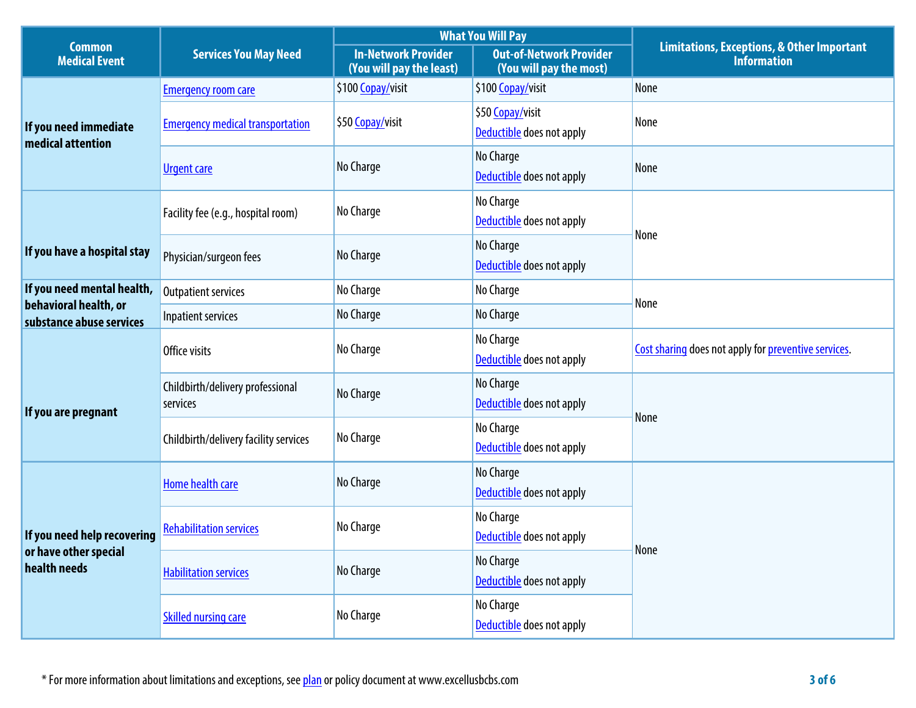|                                                   | <b>Services You May Need</b>                 |                                                        | <b>What You Will Pay</b>                                  |                                                                             |  |
|---------------------------------------------------|----------------------------------------------|--------------------------------------------------------|-----------------------------------------------------------|-----------------------------------------------------------------------------|--|
| <b>Common</b><br><b>Medical Event</b>             |                                              | <b>In-Network Provider</b><br>(You will pay the least) | <b>Out-of-Network Provider</b><br>(You will pay the most) | <b>Limitations, Exceptions, &amp; Other Important</b><br><b>Information</b> |  |
|                                                   | <b>Emergency room care</b>                   | \$100 Copay/visit                                      | \$100 Copay/visit                                         | None                                                                        |  |
| If you need immediate<br>medical attention        | <b>Emergency medical transportation</b>      | \$50 Copay/visit                                       | \$50 Copay/visit<br>Deductible does not apply             | None                                                                        |  |
|                                                   | <b>Urgent care</b>                           | No Charge                                              | No Charge<br>Deductible does not apply                    | None                                                                        |  |
|                                                   | Facility fee (e.g., hospital room)           | No Charge                                              | No Charge<br>Deductible does not apply                    | None                                                                        |  |
| If you have a hospital stay                       | Physician/surgeon fees                       | No Charge                                              | No Charge<br>Deductible does not apply                    |                                                                             |  |
| If you need mental health,                        | <b>Outpatient services</b>                   | No Charge                                              | No Charge                                                 |                                                                             |  |
| behavioral health, or<br>substance abuse services | Inpatient services                           | No Charge                                              | No Charge                                                 | None                                                                        |  |
|                                                   | Office visits                                | No Charge                                              | No Charge<br>Deductible does not apply                    | Cost sharing does not apply for preventive services.                        |  |
| If you are pregnant                               | Childbirth/delivery professional<br>services | No Charge                                              | No Charge<br>Deductible does not apply                    | None                                                                        |  |
|                                                   | Childbirth/delivery facility services        | No Charge                                              | No Charge<br>Deductible does not apply                    |                                                                             |  |
|                                                   | Home health care                             | No Charge                                              | No Charge<br>Deductible does not apply                    |                                                                             |  |
| If you need help recovering                       | <b>Rehabilitation services</b>               | No Charge                                              | No Charge<br>Deductible does not apply                    | None                                                                        |  |
| or have other special<br>health needs             | <b>Habilitation services</b>                 | No Charge                                              | No Charge<br>Deductible does not apply                    |                                                                             |  |
|                                                   | <b>Skilled nursing care</b>                  | No Charge                                              | No Charge<br>Deductible does not apply                    |                                                                             |  |

**\* For more information about limitations and exceptions, see plan or policy document at www.excellusbcbs.com 3 of 6**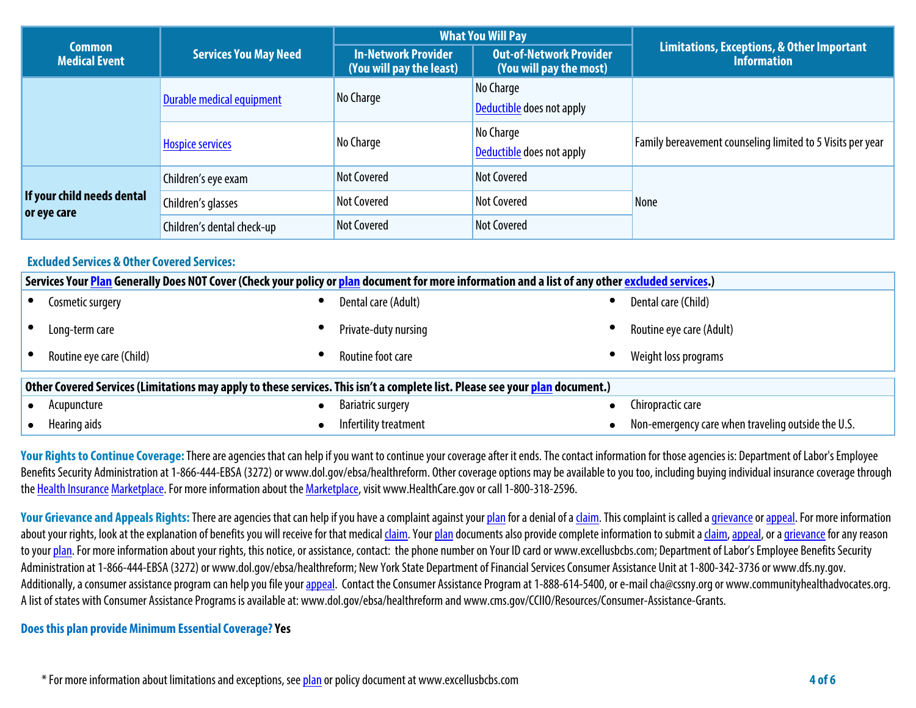|                                           | <b>Services You May Need</b> |                                                        | <b>What You Will Pay</b>                           |                                                                  |  |
|-------------------------------------------|------------------------------|--------------------------------------------------------|----------------------------------------------------|------------------------------------------------------------------|--|
| Common<br><b>Medical Event</b>            |                              | <b>In-Network Provider</b><br>(You will pay the least) | Out-of-Network Provider<br>(You will pay the most) | Limitations, Exceptions, & Other Important<br><b>Information</b> |  |
|                                           | Durable medical equipment    | No Charge                                              | No Charge<br>Deductible does not apply             |                                                                  |  |
|                                           | <b>Hospice services</b>      | No Charge                                              | No Charge<br>Deductible does not apply             | Family bereavement counseling limited to 5 Visits per year       |  |
|                                           | Children's eye exam          | Not Covered                                            | <b>Not Covered</b>                                 |                                                                  |  |
| If your child needs dental<br>or eye care | Children's glasses           | <b>Not Covered</b>                                     | <b>Not Covered</b>                                 | None                                                             |  |
|                                           | Children's dental check-up   | <b>Not Covered</b>                                     | <b>Not Covered</b>                                 |                                                                  |  |

# **Excluded Services & Other Covered Services:**

| Services Your Plan Generally Does NOT Cover (Check your policy or plan document for more information and a list of any other excluded services.) |                          |           |                          |  |                                                    |  |
|--------------------------------------------------------------------------------------------------------------------------------------------------|--------------------------|-----------|--------------------------|--|----------------------------------------------------|--|
|                                                                                                                                                  | Cosmetic surgery         |           | Dental care (Adult)      |  | Dental care (Child)                                |  |
|                                                                                                                                                  | Long-term care           |           | Private-duty nursing     |  | Routine eye care (Adult)                           |  |
|                                                                                                                                                  | Routine eye care (Child) |           | Routine foot care        |  | Weight loss programs                               |  |
| Other Covered Services (Limitations may apply to these services. This isn't a complete list. Please see your plan document.)                     |                          |           |                          |  |                                                    |  |
|                                                                                                                                                  | Acupuncture              | $\bullet$ | <b>Bariatric surgery</b> |  | Chiropractic care                                  |  |
|                                                                                                                                                  | Hearing aids             |           | Infertility treatment    |  | Non-emergency care when traveling outside the U.S. |  |

Your Rights to Continue Coverage: There are agencies that can help if you want to continue your coverage after it ends. The contact information for those agencies is: Department of Labor's Employee Benefits Security Administration at 1-866-444-EBSA (3272) or www.dol.gov/ebsa/healthreform. Other coverage options may be available to you too, including buying individual insurance coverage through **the Health Insurance Marketplace. For more information about the Marketplace, visit www.HealthCare.gov or call 1-800-318-2596.**

Your Grievance and Appeals Rights: There are agencies that can help if you have a complaint against your plan for a denial of a claim. This complaint is called a grievance or appeal. For more information about your rights, look at the explanation of benefits you will receive for that medical claim. Your plan documents also provide complete information to submit a claim, appeal, or a grievance for any reason **to your plan. For more information about your rights, this notice, or assistance, contact: the phone number on Your ID card or www.excellusbcbs.com; Department of Labor's Employee Benefits Security Administration at 1-866-444-EBSA (3272) or www.dol.gov/ebsa/healthreform; New York State Department of Financial Services Consumer Assistance Unitat 1-800-342-3736 or www.dfs.ny.gov.**  Additionally, a consumer assistance program can help you file your appeal. Contact the Consumer Assistance Program at 1-888-614-5400, or e-mail cha@cssny.org or www.communityhealthadvocates.org. **A list of states with Consumer Assistance Programs is available at: www.dol.gov/ebsa/healthreform and www.cms.gov/CCIIO/Resources/Consumer-Assistance-Grants.**

### **Does this plan provide Minimum Essential Coverage? Yes**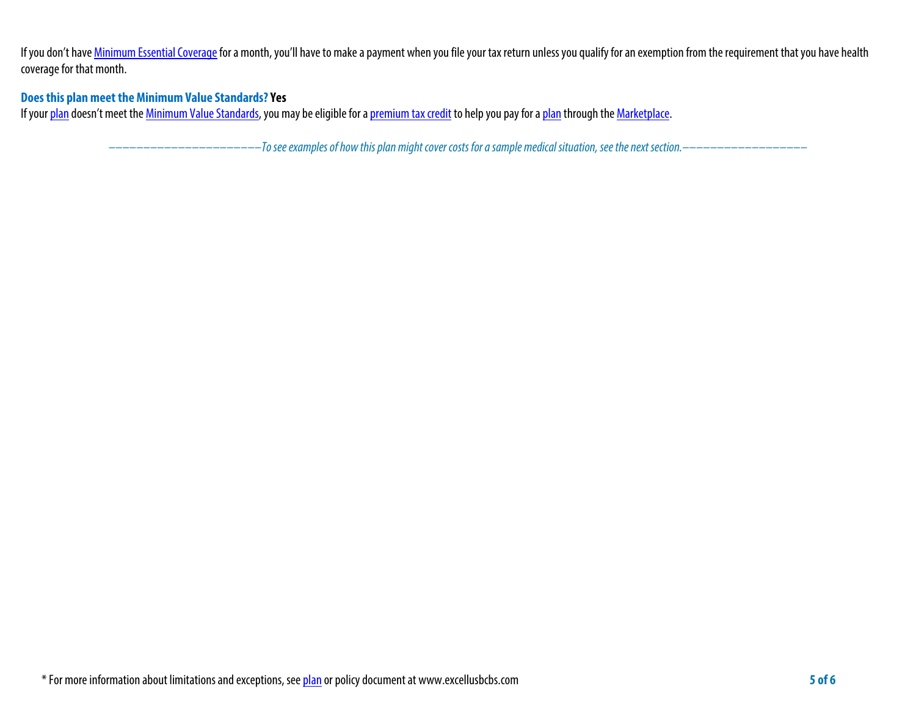If you don't have **Minimum Essential Coverage** for a month, you'll have to make a payment when you file your tax return unless you qualify for an exemption from the requirement that you have health **coverage for that month.**

# **Does this plan meet the Minimum Value Standards? Yes**

**If your plan doesn't meet the Minimum Value Standards, you may be eligible for a premium tax credit to help you pay for a plan through the Marketplace.**

**––––––––––––––––––––––***To see examples of how this plan might cover costs for a sample medical situation, see the next section.–––––––––––***–––––––**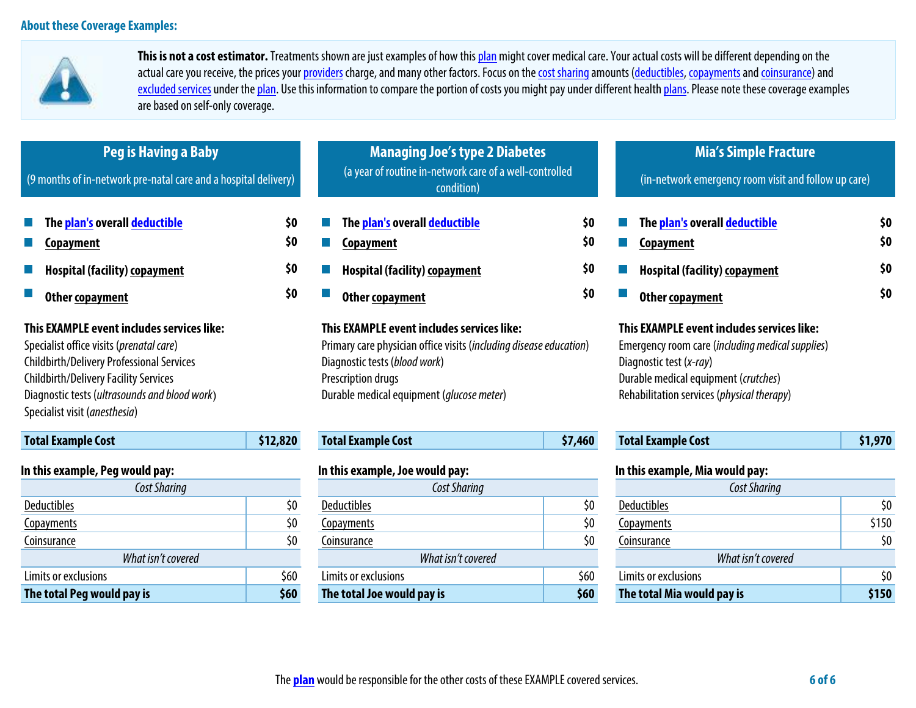

**This is not a cost estimator. Treatments shown are just examples of how this plan might cover medical care. Your actual costs will be different depending on the**  actual care you receive, the prices your providers charge, and many other factors. Focus on the cost sharing amounts (deductibles, copayments and coinsurance) and excluded services under the plan. Use this information to compare the portion of costs you might pay under different health plans. Please note these coverage examples **are based on self-only coverage.**

| Peg is Having a Baby<br>(9 months of in-network pre-natal care and a hospital delivery)                                                                                                                                                                                      |          | <b>Managing Joe's type 2 Diabetes</b><br>(a year of routine in-network care of a well-controlled<br>condition)                                                                                                                |         | <b>Mia's Simple Fracture</b><br>(in-network emergency room visit and follow up care)                                                                                                                            |         |  |
|------------------------------------------------------------------------------------------------------------------------------------------------------------------------------------------------------------------------------------------------------------------------------|----------|-------------------------------------------------------------------------------------------------------------------------------------------------------------------------------------------------------------------------------|---------|-----------------------------------------------------------------------------------------------------------------------------------------------------------------------------------------------------------------|---------|--|
| The plan's overall deductible                                                                                                                                                                                                                                                | \$0      | The <mark>plan's</mark> overall <u>deductible</u>                                                                                                                                                                             | \$0     | The plan's overall deductible                                                                                                                                                                                   | \$0     |  |
| Copayment                                                                                                                                                                                                                                                                    | \$0      | Copayment                                                                                                                                                                                                                     | \$0     | Copayment                                                                                                                                                                                                       | \$0     |  |
| <b>Hospital (facility) copayment</b>                                                                                                                                                                                                                                         | \$0      | <b>Hospital (facility) copayment</b>                                                                                                                                                                                          | \$0     | <b>Hospital (facility) copayment</b>                                                                                                                                                                            | \$0     |  |
| Other copayment                                                                                                                                                                                                                                                              | \$0      | Other copayment                                                                                                                                                                                                               | \$0     | Other copayment                                                                                                                                                                                                 | \$0     |  |
| This EXAMPLE event includes services like:<br>Specialist office visits (prenatal care)<br><b>Childbirth/Delivery Professional Services</b><br><b>Childbirth/Delivery Facility Services</b><br>Diagnostic tests (ultrasounds and blood work)<br>Specialist visit (anesthesia) |          | This EXAMPLE event includes services like:<br>Primary care physician office visits (including disease education)<br>Diagnostic tests (blood work)<br>Prescription drugs<br>Durable medical equipment ( <i>glucose meter</i> ) |         | This EXAMPLE event includes services like:<br>Emergency room care (including medical supplies)<br>Diagnostic test (x-ray)<br>Durable medical equipment (crutches)<br>Rehabilitation services (physical therapy) |         |  |
| <b>Total Example Cost</b>                                                                                                                                                                                                                                                    | \$12,820 | <b>Total Example Cost</b>                                                                                                                                                                                                     | \$7,460 | <b>Total Example Cost</b>                                                                                                                                                                                       | \$1,970 |  |
| In this example, Peg would pay:                                                                                                                                                                                                                                              |          | In this example, Joe would pay:                                                                                                                                                                                               |         | In this example, Mia would pay:                                                                                                                                                                                 |         |  |
| Cost Sharing                                                                                                                                                                                                                                                                 |          | Cost Sharing                                                                                                                                                                                                                  |         | <b>Cost Sharing</b>                                                                                                                                                                                             |         |  |
| <b>Deductibles</b>                                                                                                                                                                                                                                                           | \$0      | <b>Deductibles</b>                                                                                                                                                                                                            | \$0     | <b>Deductibles</b>                                                                                                                                                                                              | \$0     |  |
| <b>Copayments</b>                                                                                                                                                                                                                                                            | \$0      | Copayments                                                                                                                                                                                                                    | \$0     | Copayments                                                                                                                                                                                                      | \$150   |  |
| Coinsurance                                                                                                                                                                                                                                                                  | \$0      | Coinsurance                                                                                                                                                                                                                   | \$0     | Coinsurance                                                                                                                                                                                                     | \$0     |  |
| What isn't covered                                                                                                                                                                                                                                                           |          | What isn't covered                                                                                                                                                                                                            |         | What isn't covered                                                                                                                                                                                              |         |  |
| Limits or exclusions                                                                                                                                                                                                                                                         | \$60     | Limits or exclusions                                                                                                                                                                                                          | \$60    | Limits or exclusions                                                                                                                                                                                            | \$0     |  |

**The total Peg would pay is \$60 The total Joe would pay is \$60 The total Mia would pay is \$150**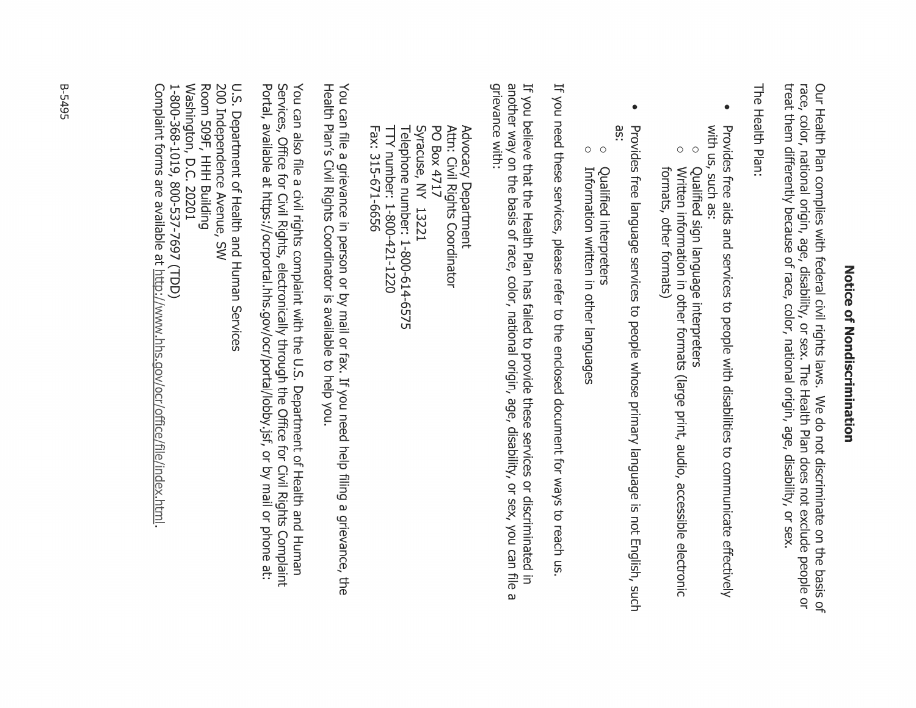# Zotice of Zondiscrimination

Our Health Plan complies with federal civil rights laws. We do not discriminate on the basis of<br>race, color, national origin, age, disability, or sex. The Health Plan does not exclude people or treat them differently because of race, color, national origin, age, disability, or sex

The Health Plan:

- with us, such as: Provides free aids and services to people with disabilities to communicate effectively
- $\circ$ Qualified sign language interpreters
- $\bigcirc$ Written information in other formats (large print, audio, accessible electronic formats, other formats)
- $\bullet$ äS. Provides free language services to people whose primary language is not English, such
- $\circ$ Qualified interpreters
- $\circ$ Information written in other languages

If you need these services, please refer to the enclosed document for ways to reach us

another way on the basis of race, color, national origin, age, disability, or sex, you can file grievance with: If you believe that the Health Plan has failed to provide these services or discriminated in ω

Telephone number: 1-800-614-6575 Syracuse, NY 13221 PO Box 4717 Attn: Civil Rights Coordinator Fax: 315-671-6656 TTY number: 1-800-421-1220 Advocacy Department

Health Plan's Civil Rights Coordinator is available to help you. You can file a grievance in person or by mail or fax. If you need help filing a grievance, the

Portal, available at https://ocrportal.hhs.gov/ocr/portal/lobby.jsf, or by mail or phone at: Services, Office for Civil Rights, electronically through the Office for Civil Rights Complaint You can also file a civil rights complaint with the U.S. Department of Health and Human

Washington, D.C. 20201 Room 509F, HHH Building 200 Independence Avenue, SW U.S. Department of Health and Human Services 1-800-368-1019, 800-537-7697 (TDD)

Complaint forms are available at http://www.hhs.gov/ocr/office/file/index.html